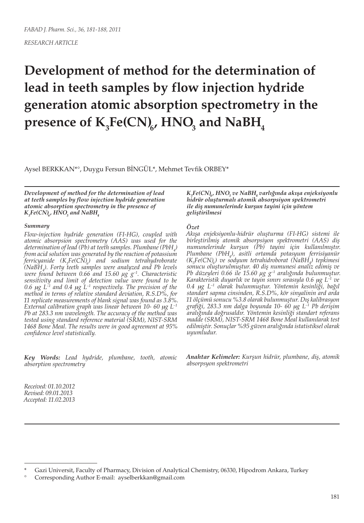# **Development of method for the determination of lead in teeth samples by flow injection hydride generation atomic absorption spectrometry in the**   $\mathbf{p}$ resence of  $\mathbf{K} _{_{3}}\mathbf{Fe(CN)}_{_{6}}$ ,  $\mathbf{HNO}_{_{3}}$  and  $\mathbf{NabH}_{_{4}}$

Aysel BERKKAN\*°, Duygu Fersun BİNGÜL\*, Mehmet Tevfik ORBEY\*

*Development of method for the determination of lead at teeth samples by flow injection hydride generation atomic absorption spectrometry in the presence of*   $K_{\tiny 3}$ Fe(CN)<sub>6</sub>, HNO<sub>3</sub> and NaBH<sub>4</sub>

#### *Summary*

*Flow-injection hydride generation (FI-HG), coupled with atomic absorpsion spectrometry (AAS) was used for the determination of lead (Pb) at teeth samples. Plumbane (PbH4 ) from acid solution was generated by the reaction of potassium ferricyanide (K3 Fe(CN)6 ) and sodium tetrahydroborate (NaBH4 ). Forty teeth samples were analyzed and Pb levels were found between 0.66 and 15.60 μg g–1. Characteristic sensitivity and limit of detection value were found to be*  0.6  $\mu$ g L<sup>-1</sup> and 0.4  $\mu$ g L<sup>-1</sup> respectively. The precision of the *method in terms of relative standard deviation, R.S.D%, for 11 replicate measurements of blank signal was found as 3.8%. External calibration graph was linear between 10-60 µg L<sup>-1</sup> Pb at 283.3 nm wavelength. The accuracy of the method was tested using standard reference material (SRM), NIST-SRM 1468 Bone Meal. The results were in good agreement at 95% confidence level statistically.*

*Key Words: Lead hydride, plumbane, tooth, atomic absorption spectrometry*

 $K_{\rm s}$ Fe(CN)<sub>6</sub>, HNO<sub>3</sub> ve NaBH<sub>4</sub> varlığında akışa enjeksiyonlu *hidrür oluşturmalı atomik absorpsiyon spektrometri ile diş numunelerinde kurşun tayini için yöntem geliştirilmesi*

#### *Özet*

*Akışa enjeksiyonlu-hidrür oluşturma (FI-HG) sistemi ile birleştirilmiş atomik absorpsiyon spektrometri (AAS) diş numunelerinde kurşun (Pb) tayini için kullanılmıştır. Plumbane (PbH4 ), asitli ortamda potasyum ferrisiyanür (K3 Fe(CN)6) ve sodyum tetrahidroborat (NaBH4 ) tepkimesi sonucu oluşturulmuştur. 40 diş numunesi analiz edimiş ve Pb düzeyleri 0.66 ile 15.60 μg g–1 aralığında bulunmuştur. Karakteristik duyarlık ve tayin sınırı sırasıyla 0.6* m*g L–1 ve 0.4* m*g L–1 olarak bulunmuştur. Yöntemin kesinliği, bağıl standart sapma cinsinden, R.S.D%, kör sinyalinin ard arda 11 ölçümü sonucu %3.8 olarak bulunmuştur. Dış kalibrasyon grafiği, 283.3 nm dalga boyunda 10- 60* m*g L–1 Pb derişim aralığında doğrusaldır. Yöntemin kesinliği standart referans madde (SRM), NIST-SRM 1468 Bone Meal kullanılarak test edilmiştir. Sonuçlar %95 güven aralığında istatistiksel olarak uyumludur.*

*Anahtar Kelimeler: Kurşun hidrür, plumbane, diş, atomik absorpsyon spektrometri*

*Received: 01.10.2012 Revised: 09.01.2013 Accepted: 11.02.2013*

Gazi Universit, Faculty of Pharmacy, Division of Analytical Chemistry, 06330, Hipodrom Ankara, Turkey

<sup>°</sup> Corresponding Author E-mail: ayselberkkan@gmail.com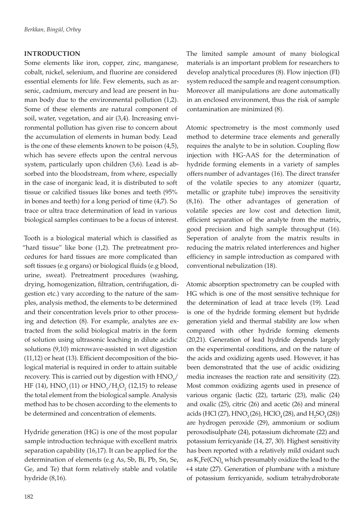# **INTRODUCTION**

Some elements like iron, copper, zinc, manganese, cobalt, nickel, selenium, and fluorine are considered essential elements for life. Few elements, such as arsenic, cadmium, mercury and lead are present in human body due to the environmental pollution (1,2). Some of these elements are natural component of soil, water, vegetation, and air (3,4). Increasing environmental pollution has given rise to concern about the accumulation of elements in human body. Lead is the one of these elements known to be poison (4,5), which has severe effects upon the central nervous system, particularly upon children (3,6). Lead is absorbed into the bloodstream, from where, especially in the case of inorganic lead, it is distributed to soft tissue or calcified tissues like bones and teeth (95% in bones and teeth) for a long period of time (4,7). So trace or ultra trace determination of lead in various biological samples continues to be a focus of interest.

Tooth is a biological material which is classified as "hard tissue" like bone (1,2). The pretreatment procedures for hard tissues are more complicated than soft tissues (e.g organs) or biological fluids (e.g blood, urine, sweat). Pretreatment procedures (washing, drying, homogenization, filtration, centrifugation, digestion etc.) vary according to the nature of the samples, analysis method, the elements to be determined and their concentration levels prior to other processing and detection (8). For example, analytes are extracted from the solid biological matrix in the form of solution using ultrasonic leaching in dilute acidic solutions (9,10) microwave-assisted in wet digestion (11,12) or heat (13). Efficient decomposition of the biological material is required in order to attain suitable recovery. This is carried out by digestion with  $\rm HNO_{3}/$ HF (14),  $HNO_3(11)$  or  $HNO_3/H_2O_2$  (12,15) to release the total element from the biological sample. Analysis method has to be chosen according to the elements to be determined and concentration of elements.

Hydride generation (HG) is one of the most popular sample introduction technique with excellent matrix separation capability (16,17). It can be applied for the determination of elements (e.g As, Sb, Bi, Pb, Sn, Se, Ge, and Te) that form relatively stable and volatile hydride (8,16).

The limited sample amount of many biological materials is an important problem for researchers to develop analytical procedures (8). Flow injection (FI) system reduced the sample and reagent consumption. Moreover all manipulations are done automatically in an enclosed environment, thus the risk of sample contamination are minimized (8).

Atomic spectrometry is the most commonly used method to determine trace elements and generally requires the analyte to be in solution. Coupling flow injection with HG-AAS for the determination of hydride forming elements in a variety of samples offers number of advantages (16). The direct transfer of the volatile species to any atomizer (quartz, metallic or graphite tube) improves the sensitivity (8,16). The other advantages of generation of volatile species are low cost and detection limit, efficient separation of the analyte from the matrix, good precision and high sample throughput (16). Seperation of analyte from the matrix results in reducing the matrix related interferences and higher efficiency in sample introduction as compared with conventional nebulization (18).

Atomic absorption spectrometry can be coupled with HG which is one of the most sensitive technique for the determination of lead at trace levels (19). Lead is one of the hydride forming element but hydride generation yield and thermal stability are low when compared with other hydride forming elements (20,21). Generation of lead hydride depends largely on the experimental conditions, and on the nature of the acids and oxidizing agents used. However, it has been demonstrated that the use of acidic oxidizing media increases the reaction rate and sensitivity (22). Most common oxidizing agents used in presence of various organic (lactic (22), tartaric (23), malic (24) and oxalic (25), citric (26) and acetic (26) and mineral acids (HCl (27),  $HNO_3(26)$ , HClO<sub>4</sub>(28), and H<sub>2</sub>SO<sub>4</sub>(28)) are hydrogen peroxide (29), ammonium or sodium peroxodisulphate (24), potassium dichromate (22) and potassium ferricyanide (14, 27, 30). Highest sensitivity has been reported with a relatively mild oxidant such as  $K_3Fe(CN)_{6}$  which presumably oxidize the lead to the +4 state (27). Generation of plumbane with a mixture of potassium ferricyanide, sodium tetrahydroborate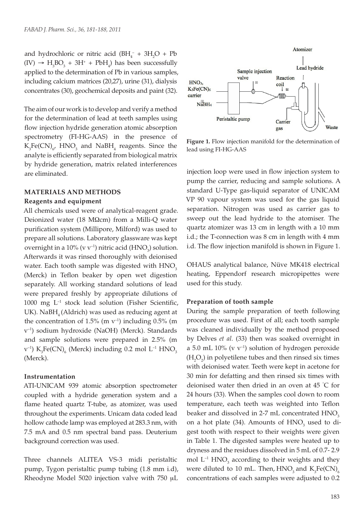and hydrochloric or nitric acid  $(BH_4^- + 3H_2O + Pb$  $(IV) \rightarrow H_3BO_3 + 3H^+ + PbH_4$ ) has been successfully applied to the determination of Pb in various samples, including calcium matrices (20,27), urine (31), dialysis concentrates (30), geochemical deposits and paint (32).

The aim of our work is to develop and verify a method for the determination of lead at teeth samples using flow injection hydride generation atomic absorption spectrometry (FI-HG-AAS) in the presence of  $K_3Fe(CN)_{6'}$  HNO<sub>3</sub> and NaBH<sub>4</sub> reagents. Since the analyte is efficiently separated from biological matrix by hydride generation, matrix related interferences are eliminated.

## **MATERIALS AND METHODS**

## **Reagents and equipment**

All chemicals used were of analytical-reagent grade. Deionized water (18 M $\Omega$ cm) from a Milli-Q water purification system (Millipore, Milford) was used to prepare all solutions. Laboratory glassware was kept overnight in a 10% (v  $v^{-1}$ ) nitric acid (HNO<sub>3</sub>) solution. Afterwards it was rinsed thoroughly with deionised water. Each tooth sample was digested with HNO<sub>3</sub> (Merck) in Teflon beaker by open wet digestion separately. All working standard solutions of lead were prepared freshly by appropriate dilutions of  $1000$  mg  $L^{-1}$  stock lead solution (Fisher Scientific, UK). NaBH<sub>4</sub> (Aldrich) was used as reducing agent at the concentration of 1.5% (m  $v^{-1}$ ) including 0.5% (m v–1) sodium hydroxide (NaOH) (Merck). Standards and sample solutions were prepared in 2.5% (m  $(v^{-1})$   $K_{3}Fe(CN)_{6}$  (Merck) including 0.2 mol  $L^{-1}$   $HNO_{3}$ (Merck).

## **Instrumentation**

ATI-UNICAM 939 atomic absorption spectrometer coupled with a hydride generation system and a flame heated quartz T-tube, as atomizer, was used throughout the experiments. Unicam data coded lead hollow cathode lamp was employed at 283.3 nm, with 7.5 mA and 0.5 nm spectral band pass. Deuterium background correction was used.

Three channels ALITEA VS-3 midi peristaltic pump, Tygon peristaltic pump tubing (1.8 mm i.d), Rheodyne Model 5020 injection valve with 750 mL



**Figure 1.** Flow injection manifold for the determination of lead using FI-HG-AAS

injection loop were used in flow injection system to pump the carrier, reducing and sample solutions. A standard U-Type gas-liquid separator of UNICAM VP 90 vapour system was used for the gas liquid separation. Nitrogen was used as carrier gas to sweep out the lead hydride to the atomiser. The quartz atomizer was 13 cm in length with a 10 mm i.d.; the T-connection was 8 cm in length with 4 mm i.d. The flow injection manifold is shown in Figure 1.

OHAUS analytical balance, Nüve MK418 electrical heating, Eppendorf research micropipettes were used for this study.

#### **Preparation of tooth sample**

During the sample preparation of teeth following procedure was used. First of all; each tooth sample was cleaned individually by the method proposed by Delves *et al.* (33) then was soaked overnight in a 5.0 mL  $10\%$  (v v<sup>-1</sup>) solution of hydrogen peroxide  $(H_2O_2)$  in polyetilene tubes and then rinsed six times with deionised water. Teeth were kept in acetone for 30 min for defatting and then rinsed six times with deionised water then dried in an oven at 45 ° C for 24 hours (33). When the samples cool down to room temperature, each teeth was weighted into Teflon beaker and dissolved in  $2-7$  mL concentrated  $HNO<sub>2</sub>$ on a hot plate (34). Amounts of  $HNO<sub>3</sub>$  used to digest tooth with respect to their weights were given in Table 1. The digested samples were heated up to dryness and the residues dissolved in 5 mL of 0.7- 2.9 mol  $L^{-1}$  HNO<sub>3</sub> according to their weights and they were diluted to 10 mL. Then,  $HNO<sub>3</sub>$  and  $K<sub>3</sub>Fe(CN)<sub>6</sub>$ concentrations of each samples were adjusted to 0.2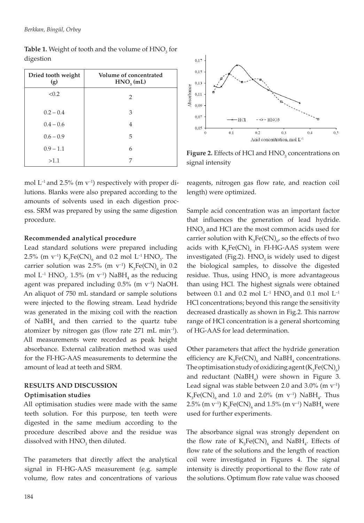| Dried tooth weight<br>(g) | Volume of concentrated<br>$HNO3$ (mL) |
|---------------------------|---------------------------------------|
| < 0.2                     | 2                                     |
| $0.2 - 0.4$               | 3                                     |
| $0.4 - 0.6$               | 4                                     |
| $0.6 - 0.9$               | 5                                     |
| $0.9 - 1.1$               | 6                                     |
| >1.1                      | 7                                     |

**Table 1.** Weight of tooth and the volume of  $\text{HNO}_3$  for digestion

mol  $L^{-1}$  and 2.5% (m  $v^{-1}$ ) respectively with proper dilutions. Blanks were also prepared according to the amounts of solvents used in each digestion process. SRM was prepared by using the same digestion procedure.

# **Recommended analytical procedure**

Lead standard solutions were prepared including 2.5% (m v<sup>-1</sup>)  $K_3Fe(CN)_6$  and 0.2 mol L<sup>-1</sup> HNO<sub>3</sub>. The carrier solution was 2.5% (m v<sup>-1</sup>)  $K_3Fe(CN)_6$  in 0.2 mol  $L^{-1}$  HNO<sub>3</sub>. 1.5% (m v<sup>-1</sup>) NaBH<sub>4</sub> as the reducing agent was prepared including  $0.5\%$  (m  $v^{-1}$ ) NaOH. An aliquot of 750 mL standard or sample solutions were injected to the flowing stream. Lead hydride was generated in the mixing coil with the reaction of  $N$ a $BH$ <sub>4</sub> and then carried to the quartz tube atomizer by nitrogen gas (flow rate 271 mL min–1). All measurements were recorded as peak height absorbance. External calibration method was used for the FI-HG-AAS measurements to determine the amount of lead at teeth and SRM.

# **RESULTS AND DISCUSSION Optimisation studies**

All optimisation studies were made with the same teeth solution. For this purpose, ten teeth were digested in the same medium according to the procedure described above and the residue was dissolved with  $\rm HNO_3$  then diluted.

The parameters that directly affect the analytical signal in FI-HG-AAS measurement (e.g. sample volume, flow rates and concentrations of various



**Figure 2.** Effects of HCl and HNO<sub>3</sub> concentrations on signal intensity

reagents, nitrogen gas flow rate, and reaction coil length) were optimized.

Sample acid concentration was an important factor that influences the generation of lead hydride.  $HNO<sub>3</sub>$  and HCl are the most common acids used for carrier solution with  $K_3Fe(CN)_{6}$ , so the effects of two acids with  $K_3Fe(CN)_6$  in FI-HG-AAS system were investigated (Fig.2).  $HNO<sub>3</sub>$  is widely used to digest the biological samples, to dissolve the digested residue. Thus, using  $HNO<sub>3</sub>$  is more advantageous than using HCl. The highest signals were obtained between 0.1 and 0.2 mol  $L^{-1}$  HNO<sub>2</sub> and 0.1 mol  $L^{-1}$ HCl concentrations; beyond this range the sensitivity decreased drastically as shown in Fig.2. This narrow range of HCl concentration is a general shortcoming of HG-AAS for lead determination.

Other parameters that affect the hydride generation efficiency are  $K_3Fe(CN)_{6}$  and NaBH<sub>4</sub> concentrations. The optimisation study of oxidizing agent  $(K_{3}Fe(CN)_{6})$ and reductant  $(NaBH<sub>4</sub>)$  were shown in Figure 3. Lead signal was stable between 2.0 and  $3.0\%$  (m  $v^{-1}$ )  $K_{3}Fe(CN)_{6}$  and 1.0 and 2.0% (m v<sup>-1</sup>) NaBH<sub>4</sub>. Thus 2.5% (m v<sup>-1</sup>)  $\text{K}_{3}\text{Fe(CN)}_{6}$  and 1.5% (m v<sup>-1</sup>) NaBH<sub>4</sub> were used for further experiments.

The absorbance signal was strongly dependent on the flow rate of  $K_3Fe(CN)_6$  and NaBH<sub>4</sub>. Effects of flow rate of the solutions and the length of reaction coil were investigated in Figures 4. The signal intensity is directly proportional to the flow rate of the solutions. Optimum flow rate value was choosed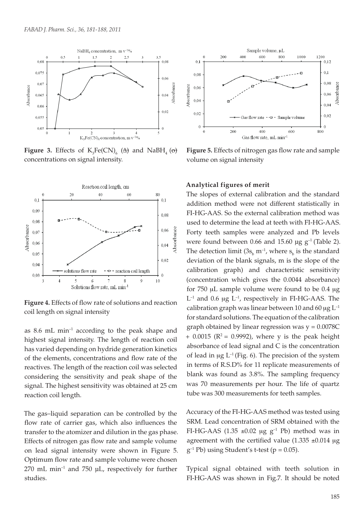

**Figure 3.** Effects of  $K_3Fe(CN)_{6}$  ( $\Delta$ ) and NaBH<sub>4</sub> ( $\Theta$ ) concentrations on signal intensity.



**Figure 4.** Effects of flow rate of solutions and reaction coil length on signal intensity

as  $8.6$  mL min<sup>-1</sup> according to the peak shape and highest signal intensity. The length of reaction coil has varied depending on hydride generation kinetics of the elements, concentrations and flow rate of the reactives. The length of the reaction coil was selected considering the sensitivity and peak shape of the signal. The highest sensitivity was obtained at 25 cm reaction coil length.

The gas–liquid separation can be controlled by the flow rate of carrier gas, which also influences the transfer to the atomizer and dilution in the gas phase. Effects of nitrogen gas flow rate and sample volume on lead signal intensity were shown in Figure 5. Optimum flow rate and sample volume were chosen  $270$  mL min<sup>-1</sup> and  $750$   $\mu$ L, respectively for further studies.



**Figure 5.** Effects of nitrogen gas flow rate and sample volume on signal intensity

# **Analytical figures of merit**

The slopes of external calibration and the standard addition method were not different statistically in FI-HG-AAS. So the external calibration method was used to determine the lead at teeth with FI-HG-AAS. Forty teeth samples were analyzed and Pb levels were found between 0.66 and 15.60  $\mu$ g g<sup>-1</sup> (Table 2). The detection limit  $(3s_b m^{-1})$ , where  $s_b$  is the standard deviation of the blank signals, m is the slope of the calibration graph) and characteristic sensitivity (concentration which gives the 0.0044 absorbance) for  $750 \mu L$  sample volume were found to be  $0.4 \mu g$  $L^{-1}$  and 0.6 µg  $L^{-1}$ , respectively in FI-HG-AAS. The calibration graph was linear between 10 and 60  $\mu$ g L<sup>-1</sup> for standard solutions. The equation of the calibration graph obtained by linear regression was  $y = 0.0078C$ + 0.0015 ( $\mathbb{R}^2$  = 0.9992), where y is the peak height absorbance of lead signal and C is the concentration of lead in  $\mu$ g L<sup>-1</sup> (Fig. 6). The precision of the system in terms of R.S.D% for 11 replicate measurements of blank was found as 3.8%. The sampling frequency was 70 measurements per hour. The life of quartz tube was 300 measurements for teeth samples.

Accuracy of the FI-HG-AAS method was tested using SRM. Lead concentration of SRM obtained with the FI-HG-AAS (1.35  $\pm 0.02$  µg g<sup>-1</sup> Pb) method was in agreement with the certified value  $(1.335 \pm 0.014 \text{ µg})$  $g^{-1}$  Pb) using Student's t-test ( $p = 0.05$ ).

Typical signal obtained with teeth solution in FI-HG-AAS was shown in Fig.7. It should be noted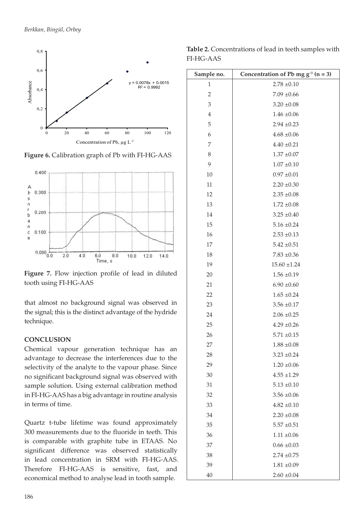

**Figure 6.** Calibration graph of Pb with FI-HG-AAS



**Figure 7.** Flow injection profile of lead in diluted tooth using FI-HG-AAS

that almost no background signal was observed in the signal; this is the distinct advantage of the hydride technique.

# **CONCLUSION**

Chemical vapour generation technique has an advantage to decrease the interferences due to the selectivity of the analyte to the vapour phase. Since no significant background signal was observed with sample solution. Using external calibration method in FI-HG-AAS has a big advantage in routine analysis in terms of time.

Quartz t-tube lifetime was found approximately 300 measurements due to the fluoride in teeth. This is comparable with graphite tube in ETAAS. No significant difference was observed statistically in lead concentration in SRM with FI-HG-AAS. Therefore FI-HG-AAS is sensitive, fast, and economical method to analyse lead in tooth sample.

**Table 2.** Concentrations of lead in teeth samples with FI-HG-AAS

| Sample no.     | Concentration of Pb mg $g^{-1}$ (n = 3) |
|----------------|-----------------------------------------|
| 1              | $2.78 \pm 0.10$                         |
| $\overline{2}$ | $7.09 \pm 0.66$                         |
| 3              | $3.20 \pm 0.08$                         |
| $\,4\,$        | $1.46 \pm 0.06$                         |
| 5              | $2.94 \pm 0.23$                         |
| 6              | $4.68 \pm 0.06$                         |
| 7              | $4.40 \pm 0.21$                         |
| $\,8\,$        | $1.37 \pm 0.07$                         |
| 9              | $1.07 \pm 0.10$                         |
| 10             | $0.97 \pm 0.01$                         |
| 11             | $2.20 \pm 0.30$                         |
| 12             | $2.35 \pm 0.08$                         |
| 13             | $1.72 \pm 0.08$                         |
| 14             | $3.25 \pm 0.40$                         |
| 15             | $5.16 \pm 0.24$                         |
| 16             | $2.53 \pm 0.13$                         |
| 17             | $5.42 \pm 0.51$                         |
| 18             | $7.83 \pm 0.36$                         |
| 19             | $15.60 \pm 1.24$                        |
| 20             | $1.56 \pm 0.19$                         |
| 21             | $6.90 \pm 0.60$                         |
| 22             | $1.65 \pm 0.24$                         |
| 23             | $3.56 \pm 0.17$                         |
| 24             | $2.06 \pm 0.25$                         |
| 25             | $4.29 \pm 0.26$                         |
| 26             | $5.71 \pm 0.15$                         |
| 27             | $1.88 \pm 0.08$                         |
| 28             | $3.23 \pm 0.24$                         |
| 29             | $1.20 \pm 0.06$                         |
| 30             | $4.55 \pm 1.29$                         |
| 31             | $5.13 \pm 0.10$                         |
| 32             | $3.56 \pm 0.06$                         |
| 33             | $4.82 \pm 0.10$                         |
| 34             | $2.20 \pm 0.08$                         |
| 35             | $5.57 \pm 0.51$                         |
| 36             | $1.11 \pm 0.06$                         |
| 37             | $0.66 \pm 0.03$                         |
| 38             | $2.74 \pm 0.75$                         |
| 39             | $1.81 \pm 0.09$                         |
| 40             | $2.60 \pm 0.04$                         |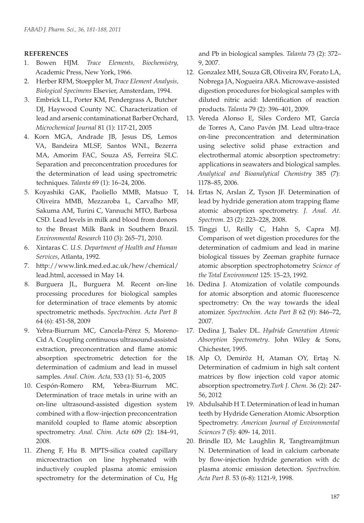# **REFERENCES**

- 1. Bowen HJM*. Trace Elements, Biochemistry,* Academic Press, New York, 1966.
- 2. Herber RFM, Stoeppler M*, Trace Element Analysis, Biological Specimens* Elsevier, Amsterdam, 1994.
- 3. Embrick LL, Porter KM, Pendergrass A, Butcher DJ, Haywood County NC. Characterization of lead and arsenic contaminationat Barber Orchard, *Microchemical Journal* 81 (1): 117-21, 2005
- 4. Korn MGA, Andrade JB, Jesus DS, Lemos VA, Bandeira MLSF, Santos WNL, Bezerra MA, Amorim FAC, Souza AS, Ferreira SLC. Separation and preconcentration procedures for the determination of lead using spectrometric techniques. *Talanta* 69 (1): 16–24, 2006.
- 5. Koyashiki GAK, Paoliello MMB, Matsuo T, Oliveira MMB, Mezzaroba L, Carvalho MF, Sakuma AM, Turini C, Vannuchi MTO, Barbosa CSD*.* Lead levels in milk and blood from donors to the Breast Milk Bank in Southern Brazil. *Environmental Research* 110 (3): 265–71, 2010.
- 6. Xintaras C. *U.S. Department of Health and Human Services*, Atlanta, 1992.
- 7. http://www.link.med.ed.ac.uk/hew/chemical/ lead.html, accessed in May 14.
- 8. Burguera JL, Burguera M*.* Recent on-line processing procedures for biological samples for determination of trace elements by atomic spectrometric methods. *Spectrochim. Acta Part B* 64 (6): 451-58, 2009
- 9. Yebra-Biurrum MC, Cancela-Pérez S, Moreno-Cid A. Coupling continuous ultrasound-assisted extraction, preconcentration and flame atomic absorption spectrometric detection for the determination of cadmium and lead in mussel samples. *Anal. Chim. Acta,* 533 (1): 51–6, 2005
- 10. Cespón-Romero RM, Yebra-Biurrum MC. Determination of trace metals in urine with an on-line ultrasound-assisted digestion system combined with a flow-injection preconcentration manifold coupled to flame atomic absorption spectrometry. *Anal. Chim. Acta* 609 (2): 184–91, 2008.
- 11. Zheng F, Hu B. MPTS-silica coated capillary microextraction on line hyphenated with inductively coupled plasma atomic emission spectrometry for the determination of Cu, Hg

and Pb in biological samples. *Talanta* 73 (2): 372– 9, 2007.

- 12. Gonzalez MH, Souza GB, Oliveira RV, Forato LA, Nobrega JA, Nogueira ARA. Microwave-assisted digestion procedures for biological samples with diluted nitric acid: Identification of reaction products. *Talanta* 79 (2): 396–401, 2009.
- 13. Vereda Alonso E, Siles Cordero MT, García de Torres A, Cano Pavón JM. Lead ultra-trace on-line preconcentration and determination using selective solid phase extraction and electrothermal atomic absorption spectrometry: applications in seawaters and biological samples. *Analytical and Bioanalytical Chemistry* 385 (7): 1178–85, 2006.
- 14. Ertas N, Arslan Z, Tyson JF. Determination of lead by hydride generation atom trapping flame atomic absorption spectrometry. *J. Anal. At. Spectrom*. 23 (2): 223–228, 2008.
- 15. Tinggi U, Reilly C, Hahn S, Capra MJ. Comparison of wet digestion procedures for the determination of cadmium and lead in marine biological tissues by Zeeman graphite furnace atomic absorption spectrophotometry *Science of the Total Environment* 125: 15–23, 1992.
- 16. Dedina J. Atomization of volatile compounds for atomic absorption and atomic fluorescence spectrometry: On the way towards the ideal atomizer. *Spectrochim. Acta Part B* 62 (9): 846–72, 2007.
- 17. Dedina J, Tsalev DL. *Hydride Generation Atomic Absorption Spectrometry*. John Wiley & Sons, Chichester, 1995.
- 18. Alp O, Demiröz H, Ataman OY, Ertaş N. Determination of cadmium in high salt content matrices by flow injection cold vapor atomic absorption spectrometry.*Turk J. Chem.* 36 (2): 247- 56, 2012
- 19. Abdulsahib H T. Determination of lead in human teeth by Hydride Generation Atomic Absorption Spectrometry. *American Journal of Environmental Sciences* 7 (5): 409- 14, 2011.
- 20. Brindle ID, Mc Laughlin R, Tangtreamjitmun N. Determination of lead in calcium carbonate by flow-injection hydride generation with dc plasma atomic emission detection. *Spectrochim. Acta Part B.* 53 (6-8): 1121-9, 1998.